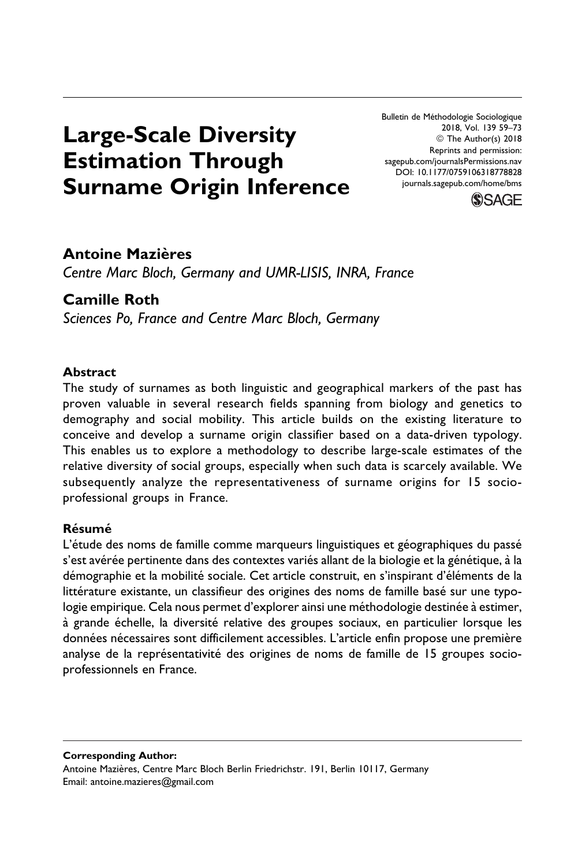Bulletin de Méthodologie Sociologique 2018, Vol. 139 59–73 ª The Author(s) 2018 Reprints and permission: [sagepub.com/journalsPermissions.nav](https://us.sagepub.com/en-us/journals-permissions) [DOI: 10.1177/0759106318778828](https://doi.org/10.1177/0759106318778828) [journals.sagepub.com/home/bms](http://journals.sagepub.com/home/bms)



# Large-Scale Diversity Estimation Through Surname Origin Inference

# **Antoine Mazières**

Centre Marc Bloch, Germany and UMR-LISIS, INRA, France

# Camille Roth

Sciences Po, France and Centre Marc Bloch, Germany

# Abstract

The study of surnames as both linguistic and geographical markers of the past has proven valuable in several research fields spanning from biology and genetics to demography and social mobility. This article builds on the existing literature to conceive and develop a surname origin classifier based on a data-driven typology. This enables us to explore a methodology to describe large-scale estimates of the relative diversity of social groups, especially when such data is scarcely available. We subsequently analyze the representativeness of surname origins for 15 socioprofessional groups in France.

### **Résumé**

L'étude des noms de famille comme marqueurs linguistiques et géographiques du passé s'est avérée pertinente dans des contextes variés allant de la biologie et la génétique, à la démographie et la mobilité sociale. Cet article construit, en s'inspirant d'éléments de la littérature existante, un classifieur des origines des noms de famille basé sur une typologie empirique. Cela nous permet d'explorer ainsi une méthodologie destinée à estimer, à grande échelle, la diversité relative des groupes sociaux, en particulier lorsque les données nécessaires sont difficilement accessibles. L'article enfin propose une première analyse de la représentativité des origines de noms de famille de 15 groupes socioprofessionnels en France.

Corresponding Author: Antoine Mazières, Centre Marc Bloch Berlin Friedrichstr. 191, Berlin 10117, Germany Email: [antoine.mazieres@gmail.com](mailto:antoine.mazieres@gmail.com)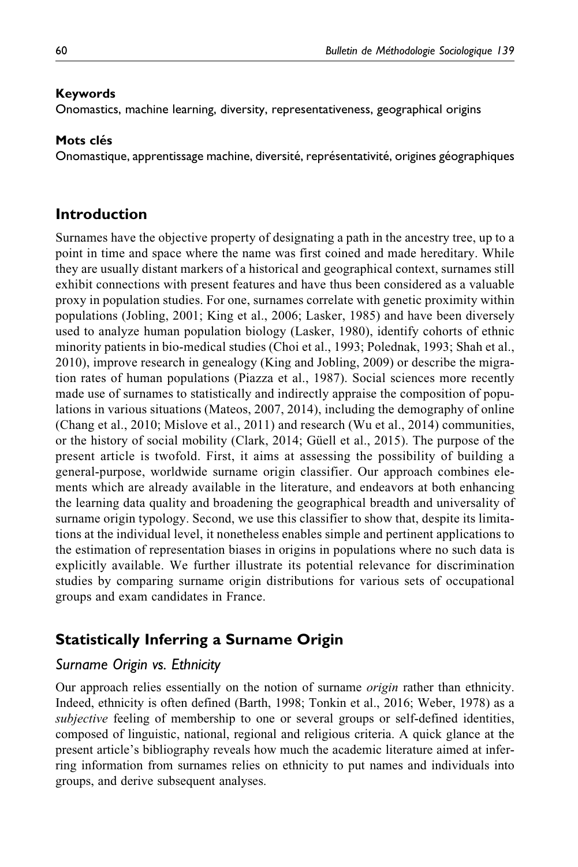### Keywords

Onomastics, machine learning, diversity, representativeness, geographical origins

### Mots clés

Onomastique, apprentissage machine, diversité, représentativité, origines géographiques

## Introduction

Surnames have the objective property of designating a path in the ancestry tree, up to a point in time and space where the name was first coined and made hereditary. While they are usually distant markers of a historical and geographical context, surnames still exhibit connections with present features and have thus been considered as a valuable proxy in population studies. For one, surnames correlate with genetic proximity within populations (Jobling, 2001; King et al., 2006; Lasker, 1985) and have been diversely used to analyze human population biology (Lasker, 1980), identify cohorts of ethnic minority patients in bio-medical studies (Choi et al., 1993; Polednak, 1993; Shah et al., 2010), improve research in genealogy (King and Jobling, 2009) or describe the migration rates of human populations (Piazza et al., 1987). Social sciences more recently made use of surnames to statistically and indirectly appraise the composition of populations in various situations (Mateos, 2007, 2014), including the demography of online (Chang et al., 2010; Mislove et al., 2011) and research (Wu et al., 2014) communities, or the history of social mobility (Clark, 2014; Güell et al., 2015). The purpose of the present article is twofold. First, it aims at assessing the possibility of building a general-purpose, worldwide surname origin classifier. Our approach combines elements which are already available in the literature, and endeavors at both enhancing the learning data quality and broadening the geographical breadth and universality of surname origin typology. Second, we use this classifier to show that, despite its limitations at the individual level, it nonetheless enables simple and pertinent applications to the estimation of representation biases in origins in populations where no such data is explicitly available. We further illustrate its potential relevance for discrimination studies by comparing surname origin distributions for various sets of occupational groups and exam candidates in France.

# Statistically Inferring a Surname Origin

### Surname Origin vs. Ethnicity

Our approach relies essentially on the notion of surname *origin* rather than ethnicity. Indeed, ethnicity is often defined (Barth, 1998; Tonkin et al., 2016; Weber, 1978) as a subjective feeling of membership to one or several groups or self-defined identities, composed of linguistic, national, regional and religious criteria. A quick glance at the present article's bibliography reveals how much the academic literature aimed at inferring information from surnames relies on ethnicity to put names and individuals into groups, and derive subsequent analyses.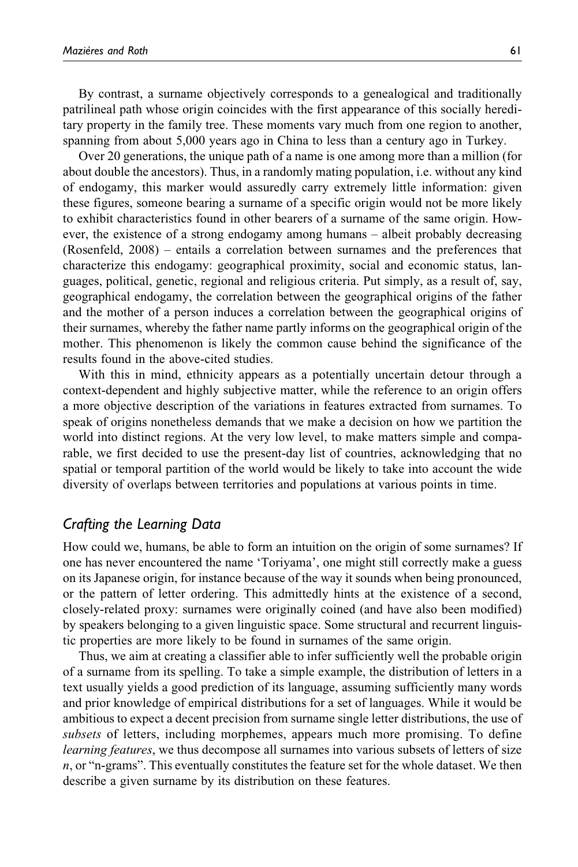By contrast, a surname objectively corresponds to a genealogical and traditionally patrilineal path whose origin coincides with the first appearance of this socially hereditary property in the family tree. These moments vary much from one region to another, spanning from about 5,000 years ago in China to less than a century ago in Turkey.

Over 20 generations, the unique path of a name is one among more than a million (for about double the ancestors). Thus, in a randomly mating population, i.e. without any kind of endogamy, this marker would assuredly carry extremely little information: given these figures, someone bearing a surname of a specific origin would not be more likely to exhibit characteristics found in other bearers of a surname of the same origin. However, the existence of a strong endogamy among humans – albeit probably decreasing (Rosenfeld, 2008) – entails a correlation between surnames and the preferences that characterize this endogamy: geographical proximity, social and economic status, languages, political, genetic, regional and religious criteria. Put simply, as a result of, say, geographical endogamy, the correlation between the geographical origins of the father and the mother of a person induces a correlation between the geographical origins of their surnames, whereby the father name partly informs on the geographical origin of the mother. This phenomenon is likely the common cause behind the significance of the results found in the above-cited studies.

With this in mind, ethnicity appears as a potentially uncertain detour through a context-dependent and highly subjective matter, while the reference to an origin offers a more objective description of the variations in features extracted from surnames. To speak of origins nonetheless demands that we make a decision on how we partition the world into distinct regions. At the very low level, to make matters simple and comparable, we first decided to use the present-day list of countries, acknowledging that no spatial or temporal partition of the world would be likely to take into account the wide diversity of overlaps between territories and populations at various points in time.

### Crafting the Learning Data

How could we, humans, be able to form an intuition on the origin of some surnames? If one has never encountered the name 'Toriyama', one might still correctly make a guess on its Japanese origin, for instance because of the way it sounds when being pronounced, or the pattern of letter ordering. This admittedly hints at the existence of a second, closely-related proxy: surnames were originally coined (and have also been modified) by speakers belonging to a given linguistic space. Some structural and recurrent linguistic properties are more likely to be found in surnames of the same origin.

Thus, we aim at creating a classifier able to infer sufficiently well the probable origin of a surname from its spelling. To take a simple example, the distribution of letters in a text usually yields a good prediction of its language, assuming sufficiently many words and prior knowledge of empirical distributions for a set of languages. While it would be ambitious to expect a decent precision from surname single letter distributions, the use of subsets of letters, including morphemes, appears much more promising. To define *learning features*, we thus decompose all surnames into various subsets of letters of size n, or "n-grams". This eventually constitutes the feature set for the whole dataset. We then describe a given surname by its distribution on these features.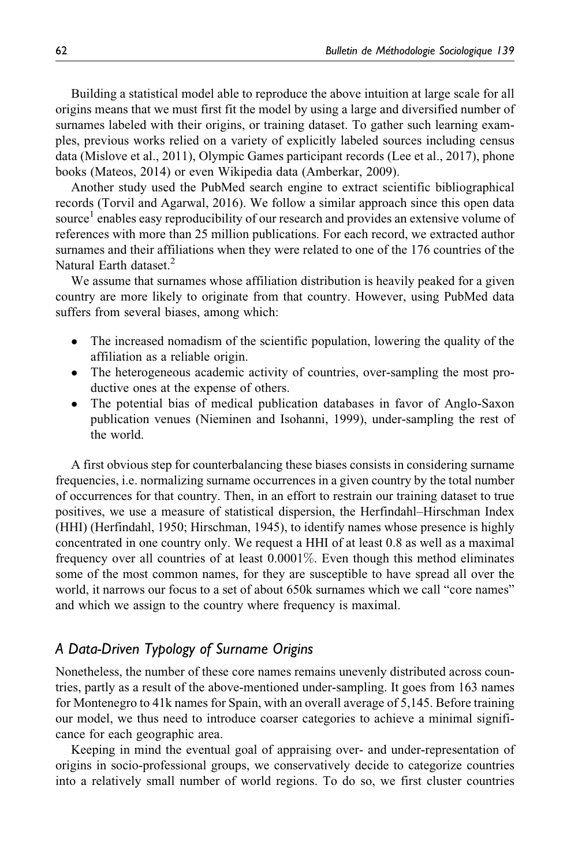Building a statistical model able to reproduce the above intuition at large scale for all origins means that we must first fit the model by using a large and diversified number of surnames labeled with their origins, or training dataset. To gather such learning examples, previous works relied on a variety of explicitly labeled sources including census data (Mislove et al., 2011), Olympic Games participant records (Lee et al., 2017), phone books (Mateos, 2014) or even Wikipedia data (Amberkar, 2009).

Another study used the PubMed search engine to extract scientific bibliographical records (Torvil and Agarwal, 2016). We follow a similar approach since this open data source<sup>1</sup> enables easy reproducibility of our research and provides an extensive volume of references with more than 25 million publications. For each record, we extracted author surnames and their affiliations when they were related to one of the 176 countries of the Natural Earth dataset.<sup>2</sup>

We assume that surnames whose affiliation distribution is heavily peaked for a given country are more likely to originate from that country. However, using PubMed data suffers from several biases, among which:

- $\bullet$  The increased nomadism of the scientific population, lowering the quality of the affiliation as a reliable origin.
- $\bullet$  The heterogeneous academic activity of countries, over-sampling the most productive ones at the expense of others.
- $\bullet$  The potential bias of medical publication databases in favor of Anglo-Saxon publication venues (Nieminen and Isohanni, 1999), under-sampling the rest of the world.

A first obvious step for counterbalancing these biases consists in considering surname frequencies, i.e. normalizing surname occurrences in a given country by the total number of occurrences for that country. Then, in an effort to restrain our training dataset to true positives, we use a measure of statistical dispersion, the Herfindahl–Hirschman Index (HHI) (Herfindahl, 1950; Hirschman, 1945), to identify names whose presence is highly concentrated in one country only. We request a HHI of at least 0.8 as well as a maximal frequency over all countries of at least 0.0001%. Even though this method eliminates some of the most common names, for they are susceptible to have spread all over the world, it narrows our focus to a set of about 650k surnames which we call "core names" and which we assign to the country where frequency is maximal.

# A Data-Driven Typology of Surname Origins

Nonetheless, the number of these core names remains unevenly distributed across countries, partly as a result of the above-mentioned under-sampling. It goes from 163 names for Montenegro to 41k names for Spain, with an overall average of 5,145. Before training our model, we thus need to introduce coarser categories to achieve a minimal significance for each geographic area.

Keeping in mind the eventual goal of appraising over- and under-representation of origins in socio-professional groups, we conservatively decide to categorize countries into a relatively small number of world regions. To do so, we first cluster countries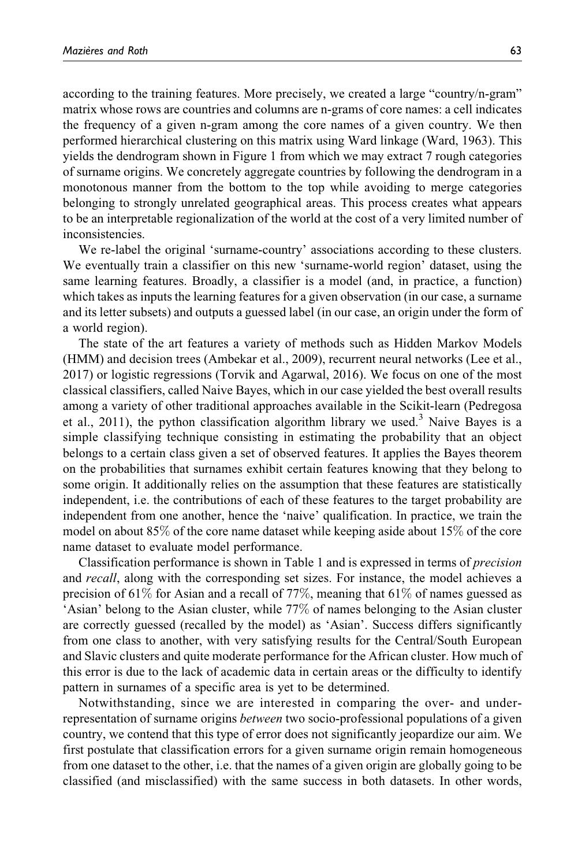according to the training features. More precisely, we created a large "country/n-gram" matrix whose rows are countries and columns are n-grams of core names: a cell indicates the frequency of a given n-gram among the core names of a given country. We then performed hierarchical clustering on this matrix using Ward linkage (Ward, 1963). This yields the dendrogram shown in Figure 1 from which we may extract 7 rough categories of surname origins. We concretely aggregate countries by following the dendrogram in a monotonous manner from the bottom to the top while avoiding to merge categories belonging to strongly unrelated geographical areas. This process creates what appears to be an interpretable regionalization of the world at the cost of a very limited number of inconsistencies.

We re-label the original 'surname-country' associations according to these clusters. We eventually train a classifier on this new 'surname-world region' dataset, using the same learning features. Broadly, a classifier is a model (and, in practice, a function) which takes as inputs the learning features for a given observation (in our case, a surname and its letter subsets) and outputs a guessed label (in our case, an origin under the form of a world region).

The state of the art features a variety of methods such as Hidden Markov Models (HMM) and decision trees (Ambekar et al., 2009), recurrent neural networks (Lee et al., 2017) or logistic regressions (Torvik and Agarwal, 2016). We focus on one of the most classical classifiers, called Naive Bayes, which in our case yielded the best overall results among a variety of other traditional approaches available in the Scikit-learn (Pedregosa et al., 2011), the python classification algorithm library we used.<sup>3</sup> Naive Bayes is a simple classifying technique consisting in estimating the probability that an object belongs to a certain class given a set of observed features. It applies the Bayes theorem on the probabilities that surnames exhibit certain features knowing that they belong to some origin. It additionally relies on the assumption that these features are statistically independent, i.e. the contributions of each of these features to the target probability are independent from one another, hence the 'naive' qualification. In practice, we train the model on about 85% of the core name dataset while keeping aside about 15% of the core name dataset to evaluate model performance.

Classification performance is shown in Table 1 and is expressed in terms of precision and recall, along with the corresponding set sizes. For instance, the model achieves a precision of 61% for Asian and a recall of 77%, meaning that 61% of names guessed as 'Asian' belong to the Asian cluster, while 77% of names belonging to the Asian cluster are correctly guessed (recalled by the model) as 'Asian'. Success differs significantly from one class to another, with very satisfying results for the Central/South European and Slavic clusters and quite moderate performance for the African cluster. How much of this error is due to the lack of academic data in certain areas or the difficulty to identify pattern in surnames of a specific area is yet to be determined.

Notwithstanding, since we are interested in comparing the over- and underrepresentation of surname origins *between* two socio-professional populations of a given country, we contend that this type of error does not significantly jeopardize our aim. We first postulate that classification errors for a given surname origin remain homogeneous from one dataset to the other, i.e. that the names of a given origin are globally going to be classified (and misclassified) with the same success in both datasets. In other words,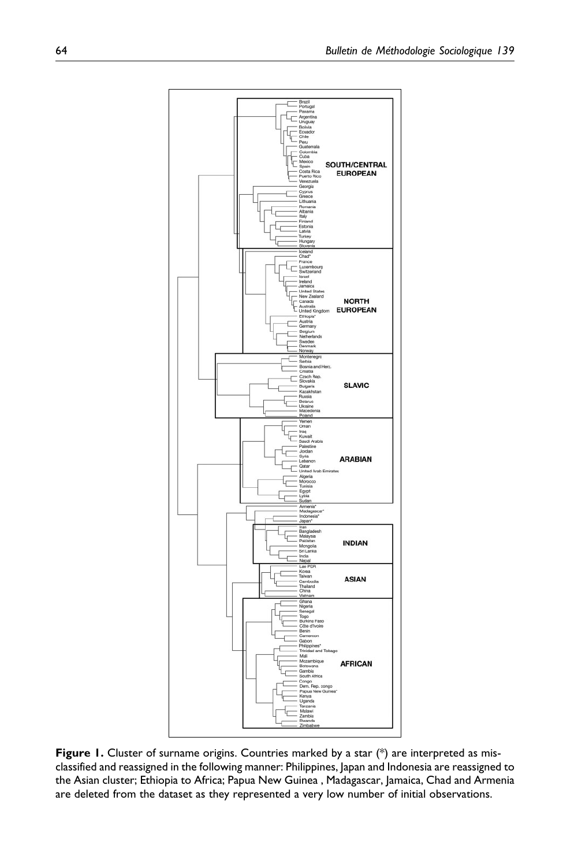

Figure 1. Cluster of surname origins. Countries marked by a star  $(*)$  are interpreted as misclassified and reassigned in the following manner: Philippines, Japan and Indonesia are reassigned to the Asian cluster; Ethiopia to Africa; Papua New Guinea , Madagascar, Jamaica, Chad and Armenia are deleted from the dataset as they represented a very low number of initial observations.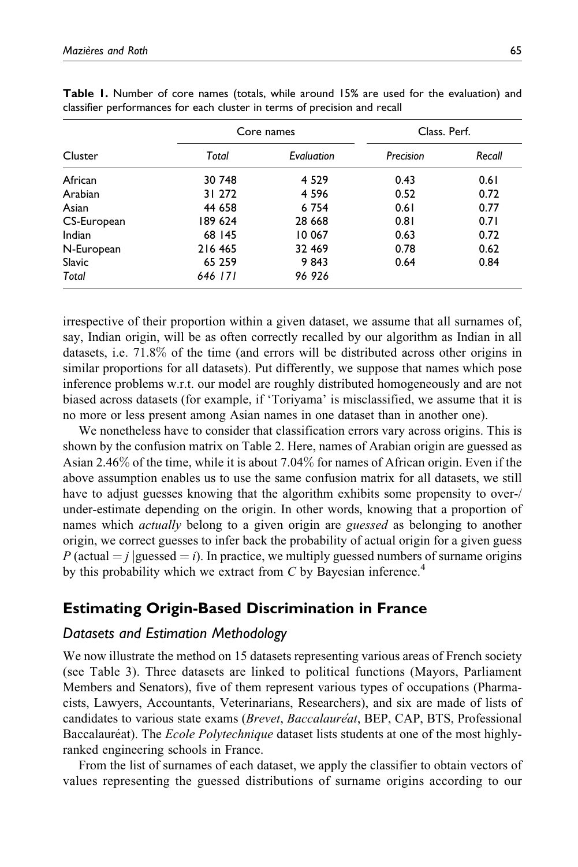|             |         | Core names | Class, Perf. |        |
|-------------|---------|------------|--------------|--------|
| Cluster     | Total   | Evaluation | Precision    | Recall |
| African     | 30 748  | 4 5 2 9    | 0.43         | 0.61   |
| Arabian     | 31 272  | 4 5 9 6    | 0.52         | 0.72   |
| Asian       | 44 658  | 6 7 5 4    | 0.61         | 0.77   |
| CS-European | 189 624 | 28 6 68    | 0.81         | 0.71   |
| Indian      | 68 145  | 10 067     | 0.63         | 0.72   |
| N-European  | 216 465 | 32 469     | 0.78         | 0.62   |
| Slavic      | 65 259  | 9843       | 0.64         | 0.84   |
| Total       | 646 171 | 96926      |              |        |

Table 1. Number of core names (totals, while around 15% are used for the evaluation) and classifier performances for each cluster in terms of precision and recall

irrespective of their proportion within a given dataset, we assume that all surnames of, say, Indian origin, will be as often correctly recalled by our algorithm as Indian in all datasets, i.e. 71.8% of the time (and errors will be distributed across other origins in similar proportions for all datasets). Put differently, we suppose that names which pose inference problems w.r.t. our model are roughly distributed homogeneously and are not biased across datasets (for example, if 'Toriyama' is misclassified, we assume that it is no more or less present among Asian names in one dataset than in another one).

We nonetheless have to consider that classification errors vary across origins. This is shown by the confusion matrix on Table 2. Here, names of Arabian origin are guessed as Asian 2.46% of the time, while it is about 7.04% for names of African origin. Even if the above assumption enables us to use the same confusion matrix for all datasets, we still have to adjust guesses knowing that the algorithm exhibits some propensity to over-/ under-estimate depending on the origin. In other words, knowing that a proportion of names which *actually* belong to a given origin are *guessed* as belonging to another origin, we correct guesses to infer back the probability of actual origin for a given guess P (actual  $=$  j |guessed  $=$  i). In practice, we multiply guessed numbers of surname origins by this probability which we extract from  $C$  by Bayesian inference.<sup>4</sup>

# Estimating Origin-Based Discrimination in France

## Datasets and Estimation Methodology

We now illustrate the method on 15 datasets representing various areas of French society (see Table 3). Three datasets are linked to political functions (Mayors, Parliament Members and Senators), five of them represent various types of occupations (Pharmacists, Lawyers, Accountants, Veterinarians, Researchers), and six are made of lists of candidates to various state exams (*Brevet, Baccalauréat*, BEP, CAP, BTS, Professional Baccalaure<sup>at</sup>). The *Ecole Polytechnique* dataset lists students at one of the most highlyranked engineering schools in France.

From the list of surnames of each dataset, we apply the classifier to obtain vectors of values representing the guessed distributions of surname origins according to our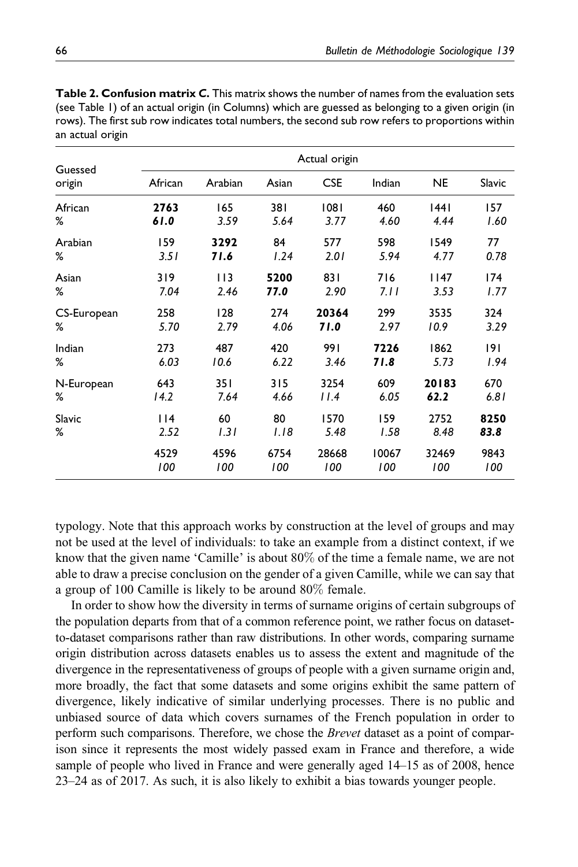| Guessed<br>origin | Actual origin |         |       |            |        |           |        |
|-------------------|---------------|---------|-------|------------|--------|-----------|--------|
|                   | African       | Arabian | Asian | <b>CSE</b> | Indian | <b>NE</b> | Slavic |
| African           | 2763          | 165     | 381   | 1081       | 460    | 44        | 157    |
| %                 | 61.0          | 3.59    | 5.64  | 3.77       | 4.60   | 4.44      | 1.60   |
| Arabian           | 159           | 3292    | 84    | 577        | 598    | 1549      | 77     |
| %                 | 3.51          | 71.6    | 1.24  | 2.01       | 5.94   | 4.77      | 0.78   |
| Asian             | 319           | 113     | 5200  | 831        | 716    | 1147      | 174    |
| %                 | 7.04          | 2.46    | 77.0  | 2.90       | 7.11   | 3.53      | 1.77   |
| CS-European       | 258           | 128     | 274   | 20364      | 299    | 3535      | 324    |
| ℅                 | 5.70          | 2.79    | 4.06  | 71.0       | 2.97   | 10.9      | 3.29   |
| Indian            | 273           | 487     | 420   | 991        | 7226   | 1862      | 9      |
| %                 | 6.03          | 10.6    | 6.22  | 3.46       | 71.8   | 5.73      | 1.94   |
| N-European        | 643           | 35 I    | 315   | 3254       | 609    | 20183     | 670    |
| ℅                 | 14.2          | 7.64    | 4.66  | 11.4       | 6.05   | 62.2      | 6.81   |
| Slavic            | 114           | 60      | 80    | 1570       | 159    | 2752      | 8250   |
| %                 | 2.52          | 1.31    | 1.18  | 5.48       | 1.58   | 8.48      | 83.8   |
|                   | 4529          | 4596    | 6754  | 28668      | 10067  | 32469     | 9843   |
|                   | 100           | 100     | 100   | 100        | 100    | 100       | 100    |

Table 2. Confusion matrix C. This matrix shows the number of names from the evaluation sets (see Table 1) of an actual origin (in Columns) which are guessed as belonging to a given origin (in rows). The first sub row indicates total numbers, the second sub row refers to proportions within an actual origin

typology. Note that this approach works by construction at the level of groups and may not be used at the level of individuals: to take an example from a distinct context, if we know that the given name 'Camille' is about 80% of the time a female name, we are not able to draw a precise conclusion on the gender of a given Camille, while we can say that a group of 100 Camille is likely to be around 80% female.

In order to show how the diversity in terms of surname origins of certain subgroups of the population departs from that of a common reference point, we rather focus on datasetto-dataset comparisons rather than raw distributions. In other words, comparing surname origin distribution across datasets enables us to assess the extent and magnitude of the divergence in the representativeness of groups of people with a given surname origin and, more broadly, the fact that some datasets and some origins exhibit the same pattern of divergence, likely indicative of similar underlying processes. There is no public and unbiased source of data which covers surnames of the French population in order to perform such comparisons. Therefore, we chose the *Brevet* dataset as a point of comparison since it represents the most widely passed exam in France and therefore, a wide sample of people who lived in France and were generally aged 14–15 as of 2008, hence 23–24 as of 2017. As such, it is also likely to exhibit a bias towards younger people.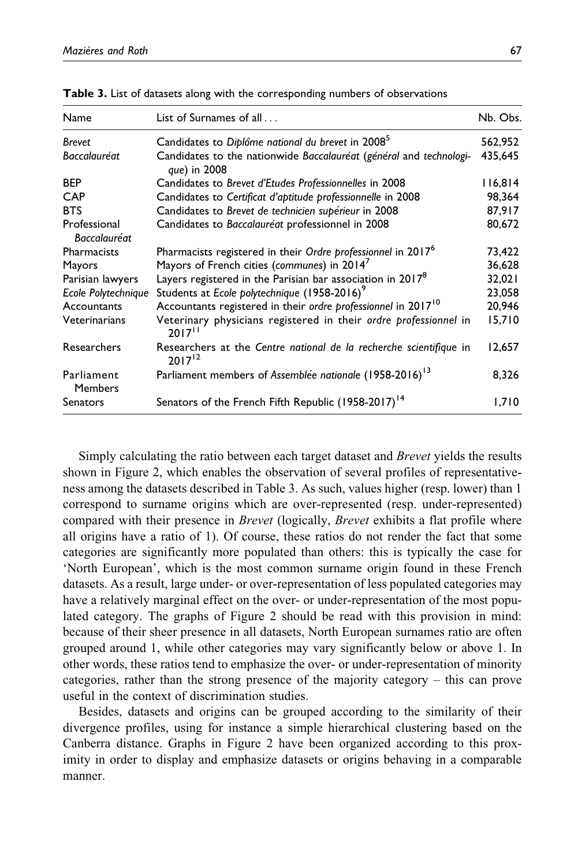| Name                                | List of Surnames of all                                                                               | Nb. Obs. |
|-------------------------------------|-------------------------------------------------------------------------------------------------------|----------|
| <b>Brevet</b>                       | Candidates to Diplôme national du brevet in 2008 <sup>5</sup>                                         | 562,952  |
| Baccalauréat                        | Candidates to the nationwide Baccalauréat (général and technologi-<br>que) in 2008                    | 435,645  |
| <b>BEP</b>                          | Candidates to Brevet d'Etudes Professionnelles in 2008                                                | 116,814  |
| <b>CAP</b>                          | Candidates to Certificat d'aptitude professionnelle in 2008                                           | 98,364   |
| <b>BTS</b>                          | Candidates to Brevet de technicien supérieur in 2008                                                  | 87,917   |
| Professional<br><b>Baccalauréat</b> | Candidates to Baccalauréat professionnel in 2008                                                      | 80,672   |
| Pharmacists                         | Pharmacists registered in their Ordre professionnel in 2017 <sup>6</sup>                              | 73,422   |
| Mayors                              | Mayors of French cities (communes) in 2014 <sup>7</sup>                                               | 36,628   |
| Parisian lawyers                    | Layers registered in the Parisian bar association in 2017 <sup>8</sup>                                | 32,021   |
| Ecole Polytechnique                 | Students at Ecole polytechnique (1958-2016) <sup>9</sup>                                              | 23,058   |
| Accountants                         | Accountants registered in their ordre professionnel in 2017 <sup>10</sup>                             | 20,946   |
| Veterinarians                       | Veterinary physicians registered in their ordre professionnel in<br>$2017$ <sup><math>11</math></sup> | 15,710   |
| Researchers                         | Researchers at the Centre national de la recherche scientifique in<br>$2017^{12}$                     | 12,657   |
| Parliament<br><b>Members</b>        | Parliament members of Assemblée nationale (1958-2016) <sup>13</sup>                                   | 8,326    |
| Senators                            | Senators of the French Fifth Republic (1958-2017) <sup>14</sup>                                       | 1.710    |

Table 3. List of datasets along with the corresponding numbers of observations

Simply calculating the ratio between each target dataset and *Brevet* yields the results shown in Figure 2, which enables the observation of several profiles of representativeness among the datasets described in Table 3. As such, values higher (resp. lower) than 1 correspond to surname origins which are over-represented (resp. under-represented) compared with their presence in *Brevet* (logically, *Brevet* exhibits a flat profile where all origins have a ratio of 1). Of course, these ratios do not render the fact that some categories are significantly more populated than others: this is typically the case for 'North European', which is the most common surname origin found in these French datasets. As a result, large under- or over-representation of less populated categories may have a relatively marginal effect on the over- or under-representation of the most populated category. The graphs of Figure 2 should be read with this provision in mind: because of their sheer presence in all datasets, North European surnames ratio are often grouped around 1, while other categories may vary significantly below or above 1. In other words, these ratios tend to emphasize the over- or under-representation of minority categories, rather than the strong presence of the majority category – this can prove useful in the context of discrimination studies.

Besides, datasets and origins can be grouped according to the similarity of their divergence profiles, using for instance a simple hierarchical clustering based on the Canberra distance. Graphs in Figure 2 have been organized according to this proximity in order to display and emphasize datasets or origins behaving in a comparable manner.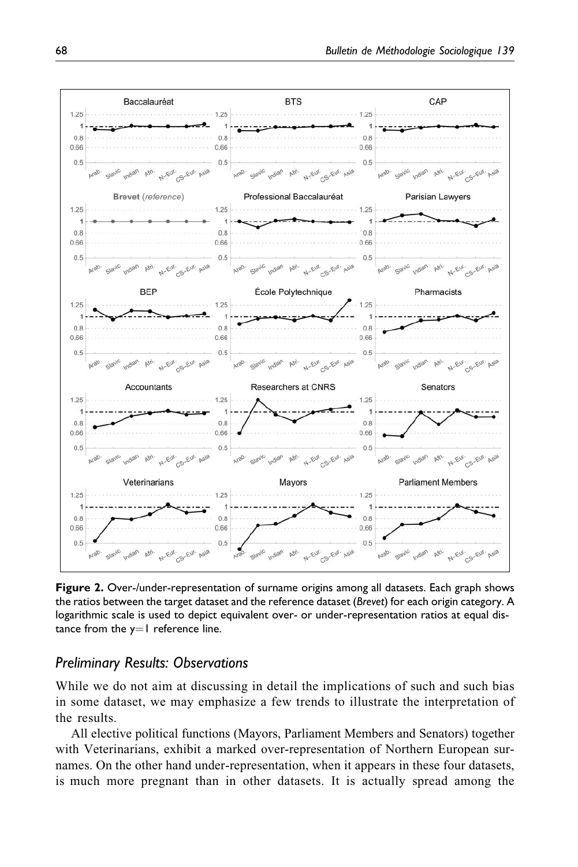

Figure 2. Over-/under-representation of surname origins among all datasets. Each graph shows the ratios between the target dataset and the reference dataset (Brevet) for each origin category. A logarithmic scale is used to depict equivalent over- or under-representation ratios at equal distance from the  $y=1$  reference line.

## Preliminary Results: Observations

While we do not aim at discussing in detail the implications of such and such bias in some dataset, we may emphasize a few trends to illustrate the interpretation of the results.

All elective political functions (Mayors, Parliament Members and Senators) together with Veterinarians, exhibit a marked over-representation of Northern European surnames. On the other hand under-representation, when it appears in these four datasets, is much more pregnant than in other datasets. It is actually spread among the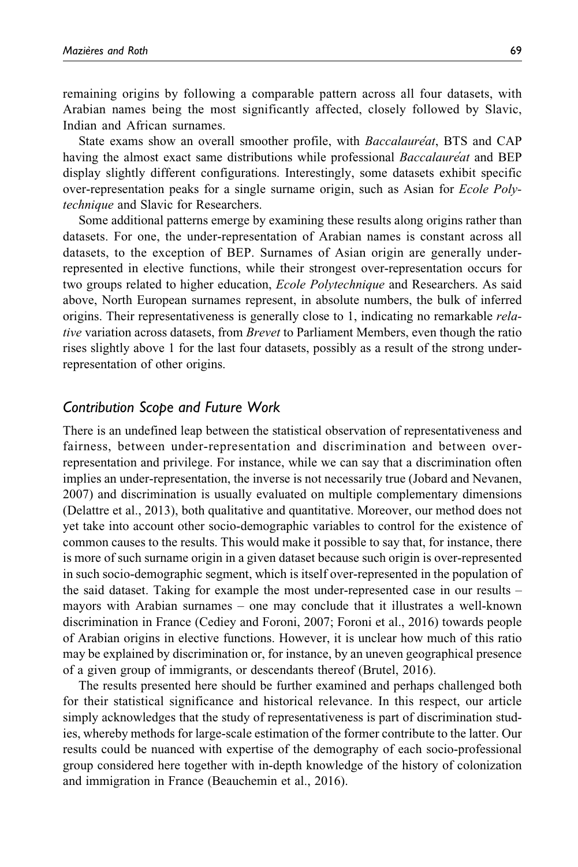remaining origins by following a comparable pattern across all four datasets, with Arabian names being the most significantly affected, closely followed by Slavic, Indian and African surnames.

State exams show an overall smoother profile, with *Baccalaure*'at, BTS and CAP having the almost exact same distributions while professional *Baccalaure*'at and BEP display slightly different configurations. Interestingly, some datasets exhibit specific over-representation peaks for a single surname origin, such as Asian for Ecole Polytechnique and Slavic for Researchers.

Some additional patterns emerge by examining these results along origins rather than datasets. For one, the under-representation of Arabian names is constant across all datasets, to the exception of BEP. Surnames of Asian origin are generally underrepresented in elective functions, while their strongest over-representation occurs for two groups related to higher education, Ecole Polytechnique and Researchers. As said above, North European surnames represent, in absolute numbers, the bulk of inferred origins. Their representativeness is generally close to 1, indicating no remarkable relative variation across datasets, from Brevet to Parliament Members, even though the ratio rises slightly above 1 for the last four datasets, possibly as a result of the strong underrepresentation of other origins.

### Contribution Scope and Future Work

There is an undefined leap between the statistical observation of representativeness and fairness, between under-representation and discrimination and between overrepresentation and privilege. For instance, while we can say that a discrimination often implies an under-representation, the inverse is not necessarily true (Jobard and Nevanen, 2007) and discrimination is usually evaluated on multiple complementary dimensions (Delattre et al., 2013), both qualitative and quantitative. Moreover, our method does not yet take into account other socio-demographic variables to control for the existence of common causes to the results. This would make it possible to say that, for instance, there is more of such surname origin in a given dataset because such origin is over-represented in such socio-demographic segment, which is itself over-represented in the population of the said dataset. Taking for example the most under-represented case in our results – mayors with Arabian surnames – one may conclude that it illustrates a well-known discrimination in France (Cediey and Foroni, 2007; Foroni et al., 2016) towards people of Arabian origins in elective functions. However, it is unclear how much of this ratio may be explained by discrimination or, for instance, by an uneven geographical presence of a given group of immigrants, or descendants thereof (Brutel, 2016).

The results presented here should be further examined and perhaps challenged both for their statistical significance and historical relevance. In this respect, our article simply acknowledges that the study of representativeness is part of discrimination studies, whereby methods for large-scale estimation of the former contribute to the latter. Our results could be nuanced with expertise of the demography of each socio-professional group considered here together with in-depth knowledge of the history of colonization and immigration in France (Beauchemin et al., 2016).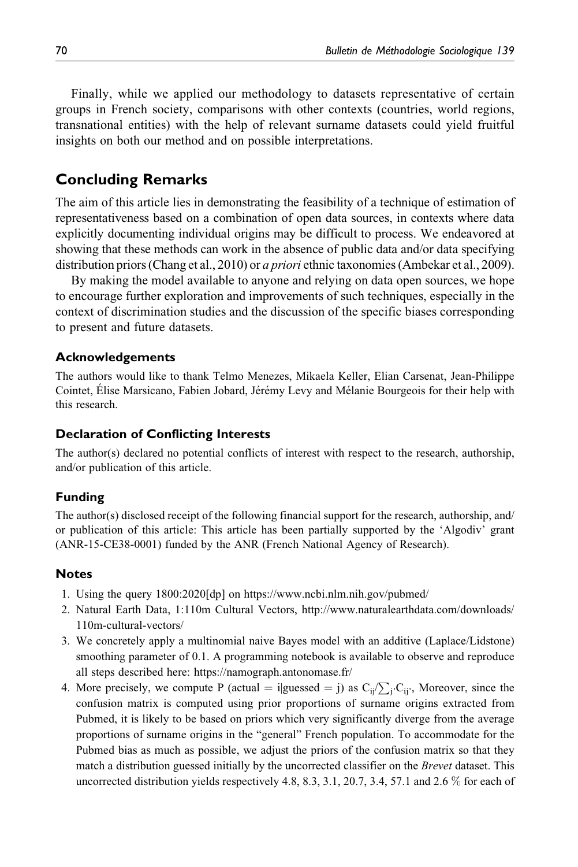Finally, while we applied our methodology to datasets representative of certain groups in French society, comparisons with other contexts (countries, world regions, transnational entities) with the help of relevant surname datasets could yield fruitful insights on both our method and on possible interpretations.

# Concluding Remarks

The aim of this article lies in demonstrating the feasibility of a technique of estimation of representativeness based on a combination of open data sources, in contexts where data explicitly documenting individual origins may be difficult to process. We endeavored at showing that these methods can work in the absence of public data and/or data specifying distribution priors (Chang et al., 2010) or *a priori* ethnic taxonomies (Ambekar et al., 2009).

By making the model available to anyone and relying on data open sources, we hope to encourage further exploration and improvements of such techniques, especially in the context of discrimination studies and the discussion of the specific biases corresponding to present and future datasets.

#### Acknowledgements

The authors would like to thank Telmo Menezes, Mikaela Keller, Elian Carsenat, Jean-Philippe Cointet, Élise Marsicano, Fabien Jobard, Jérémy Levy and Mélanie Bourgeois for their help with this research.

### Declaration of Conflicting Interests

The author(s) declared no potential conflicts of interest with respect to the research, authorship, and/or publication of this article.

### Funding

The author(s) disclosed receipt of the following financial support for the research, authorship, and/ or publication of this article: This article has been partially supported by the 'Algodiv' grant (ANR-15-CE38-0001) funded by the ANR (French National Agency of Research).

#### **Notes**

- 1. Using the query 1800:2020[dp] on<https://www.ncbi.nlm.nih.gov/pubmed/>
- 2. Natural Earth Data, 1:110m Cultural Vectors, [http://www.naturalearthdata.com/downloads/](http://www.naturalearthdata.com/downloads/110m-cultural-vectors/) [110m-cultural-vectors/](http://www.naturalearthdata.com/downloads/110m-cultural-vectors/)
- 3. We concretely apply a multinomial naive Bayes model with an additive (Laplace/Lidstone) smoothing parameter of 0.1. A programming notebook is available to observe and reproduce all steps described here:<https://namograph.antonomase.fr/>
- 4. More precisely, we compute P (actual = i|guessed = j) as  $C_{ij}/\sum_j C_{ij}$ , Moreover, since the confusion matrix is computed using prior proportions of surname origins extracted from Pubmed, it is likely to be based on priors which very significantly diverge from the average proportions of surname origins in the "general" French population. To accommodate for the Pubmed bias as much as possible, we adjust the priors of the confusion matrix so that they match a distribution guessed initially by the uncorrected classifier on the Brevet dataset. This uncorrected distribution yields respectively 4.8, 8.3, 3.1, 20.7, 3.4, 57.1 and 2.6  $\%$  for each of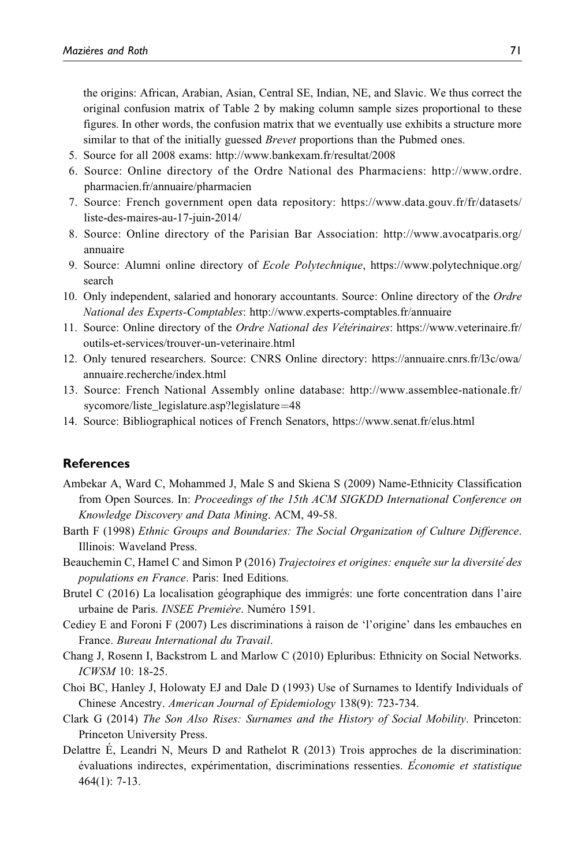the origins: African, Arabian, Asian, Central SE, Indian, NE, and Slavic. We thus correct the original confusion matrix of Table 2 by making column sample sizes proportional to these figures. In other words, the confusion matrix that we eventually use exhibits a structure more similar to that of the initially guessed *Brevet* proportions than the Pubmed ones.

- 5. Source for all 2008 exams:<http://www.bankexam.fr/resultat/2008>
- 6. Source: Online directory of the Ordre National des Pharmaciens: [http://www.ordre.](http://www.ordre.pharmacien.fr/annuaire/pharmacien) [pharmacien.fr/annuaire/pharmacien](http://www.ordre.pharmacien.fr/annuaire/pharmacien)
- 7. Source: French government open data repository: [https://www.data.gouv.fr/fr/datasets/](https://www.data.gouv.fr/fr/datasets/liste-des-maires-au-17-juin-2014/) [liste-des-maires-au-17-juin-2014/](https://www.data.gouv.fr/fr/datasets/liste-des-maires-au-17-juin-2014/)
- 8. Source: Online directory of the Parisian Bar Association: [http://www.avocatparis.org/](http://www.avocatparis.org/annuaire) [annuaire](http://www.avocatparis.org/annuaire)
- 9. Source: Alumni online directory of Ecole Polytechnique, [https://www.polytechnique.org/](https://www.polytechnique.org/search) [search](https://www.polytechnique.org/search)
- 10. Only independent, salaried and honorary accountants. Source: Online directory of the Ordre National des Experts-Comptables:<http://www.experts-comptables.fr/annuaire>
- 11. Source: Online directory of the *Ordre National des Vétérinaires*: [https://www.veterinaire.fr/](https://www.veterinaire.fr/outils-et-services/trouver-un-veterinaire.html) [outils-et-services/trouver-un-veterinaire.html](https://www.veterinaire.fr/outils-et-services/trouver-un-veterinaire.html)
- 12. Only tenured researchers. Source: CNRS Online directory: [https://annuaire.cnrs.fr/l3c/owa/](https://annuaire.cnrs.fr/l3c/owa/annuaire.recherche/index.html) [annuaire.recherche/index.html](https://annuaire.cnrs.fr/l3c/owa/annuaire.recherche/index.html)
- 13. Source: French National Assembly online database: [http://www.assemblee-nationale.fr/](http://www.assemblee-nationale.fr/sycomore/liste_legislature.asp?legislature=48) [sycomore/liste\\_legislature.asp?legislature](http://www.assemblee-nationale.fr/sycomore/liste_legislature.asp?legislature=48)=[48](http://www.assemblee-nationale.fr/sycomore/liste_legislature.asp?legislature=48)
- 14. Source: Bibliographical notices of French Senators,<https://www.senat.fr/elus.html>

#### **References**

- Ambekar A, Ward C, Mohammed J, Male S and Skiena S (2009) Name-Ethnicity Classification from Open Sources. In: Proceedings of the 15th ACM SIGKDD International Conference on Knowledge Discovery and Data Mining. ACM, 49-58.
- Barth F (1998) Ethnic Groups and Boundaries: The Social Organization of Culture Difference. Illinois: Waveland Press.
- Beauchemin C, Hamel C and Simon P (2016) Trajectoires et origines: enquête sur la diversité des populations en France. Paris: Ined Editions.
- Brutel C (2016) La localisation géographique des immigrés: une forte concentration dans l'aire urbaine de Paris. *INSEE Première*. Numéro 1591.
- Cediey E and Foroni F (2007) Les discriminations a` raison de 'l'origine' dans les embauches en France. Bureau International du Travail.
- Chang J, Rosenn I, Backstrom L and Marlow C (2010) Epluribus: Ethnicity on Social Networks. ICWSM 10: 18-25.
- Choi BC, Hanley J, Holowaty EJ and Dale D (1993) Use of Surnames to Identify Individuals of Chinese Ancestry. American Journal of Epidemiology 138(9): 723-734.
- Clark G (2014) The Son Also Rises: Surnames and the History of Social Mobility. Princeton: Princeton University Press.
- Delattre E, Leandri N, Meurs D and Rathelot R (2013) Trois approches de la discrimination: évaluations indirectes, expérimentation, discriminations ressenties. Economie et statistique 464(1): 7-13.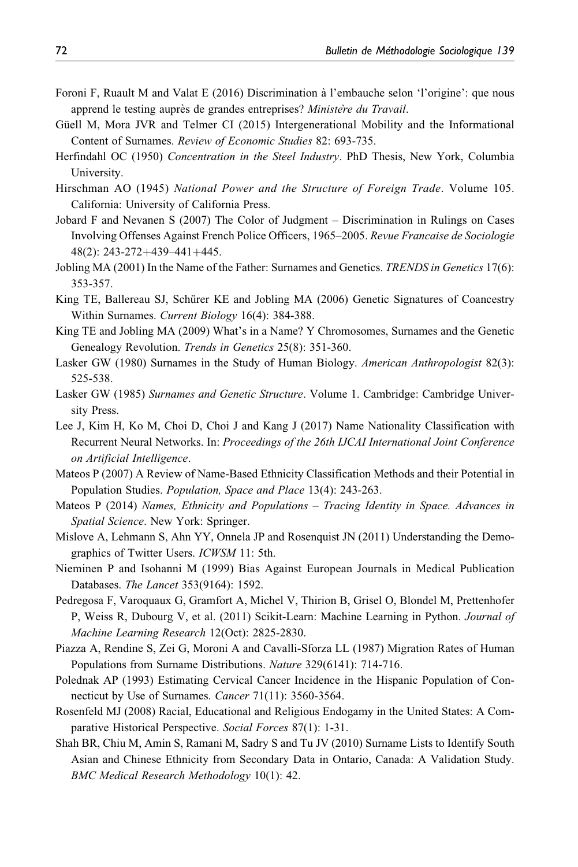- Foroni F, Ruault M and Valat E (2016) Discrimination a` l'embauche selon 'l'origine': que nous apprend le testing auprès de grandes entreprises? Ministere du Travail.
- Güell M, Mora JVR and Telmer CI (2015) Intergenerational Mobility and the Informational Content of Surnames. Review of Economic Studies 82: 693-735.
- Herfindahl OC (1950) Concentration in the Steel Industry. PhD Thesis, New York, Columbia University.
- Hirschman AO (1945) National Power and the Structure of Foreign Trade. Volume 105. California: University of California Press.
- Jobard F and Nevanen S (2007) The Color of Judgment Discrimination in Rulings on Cases Involving Offenses Against French Police Officers, 1965–2005. Revue Francaise de Sociologie 48(2): 243-272+439-441+445.
- Jobling MA (2001) In the Name of the Father: Surnames and Genetics. *TRENDS in Genetics* 17(6): 353-357.
- King TE, Ballereau SJ, Schürer KE and Jobling MA (2006) Genetic Signatures of Coancestry Within Surnames. Current Biology 16(4): 384-388.
- King TE and Jobling MA (2009) What's in a Name? Y Chromosomes, Surnames and the Genetic Genealogy Revolution. Trends in Genetics 25(8): 351-360.
- Lasker GW (1980) Surnames in the Study of Human Biology. American Anthropologist 82(3): 525-538.
- Lasker GW (1985) Surnames and Genetic Structure. Volume 1. Cambridge: Cambridge University Press.
- Lee J, Kim H, Ko M, Choi D, Choi J and Kang J (2017) Name Nationality Classification with Recurrent Neural Networks. In: Proceedings of the 26th IJCAI International Joint Conference on Artificial Intelligence.
- Mateos P (2007) A Review of Name-Based Ethnicity Classification Methods and their Potential in Population Studies. Population, Space and Place 13(4): 243-263.
- Mateos P (2014) Names, Ethnicity and Populations Tracing Identity in Space. Advances in Spatial Science. New York: Springer.
- Mislove A, Lehmann S, Ahn YY, Onnela JP and Rosenquist JN (2011) Understanding the Demographics of Twitter Users. ICWSM 11: 5th.
- Nieminen P and Isohanni M (1999) Bias Against European Journals in Medical Publication Databases. The Lancet 353(9164): 1592.
- Pedregosa F, Varoquaux G, Gramfort A, Michel V, Thirion B, Grisel O, Blondel M, Prettenhofer P, Weiss R, Dubourg V, et al. (2011) Scikit-Learn: Machine Learning in Python. *Journal of* Machine Learning Research 12(Oct): 2825-2830.
- Piazza A, Rendine S, Zei G, Moroni A and Cavalli-Sforza LL (1987) Migration Rates of Human Populations from Surname Distributions. Nature 329(6141): 714-716.
- Polednak AP (1993) Estimating Cervical Cancer Incidence in the Hispanic Population of Connecticut by Use of Surnames. Cancer 71(11): 3560-3564.
- Rosenfeld MJ (2008) Racial, Educational and Religious Endogamy in the United States: A Comparative Historical Perspective. Social Forces 87(1): 1-31.
- Shah BR, Chiu M, Amin S, Ramani M, Sadry S and Tu JV (2010) Surname Lists to Identify South Asian and Chinese Ethnicity from Secondary Data in Ontario, Canada: A Validation Study. BMC Medical Research Methodology 10(1): 42.